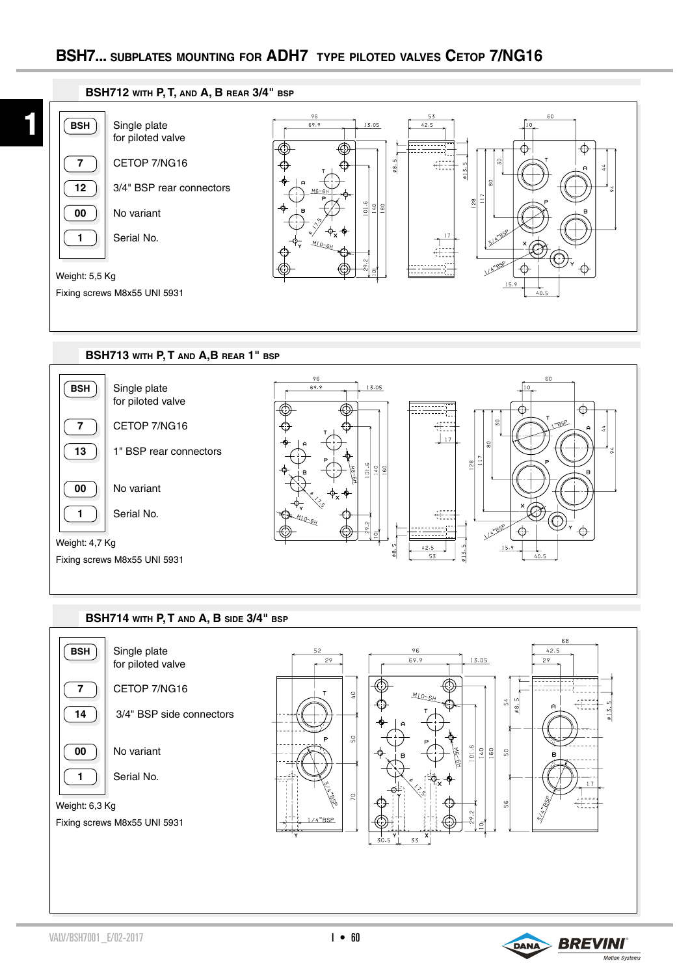



## **BSH714 with P, T and A, B side 3/4" bsp**



VALV/BSH7001\_E/02-2017 **BREVINI** 

 $I \cdot 60$ 

Motion Systems